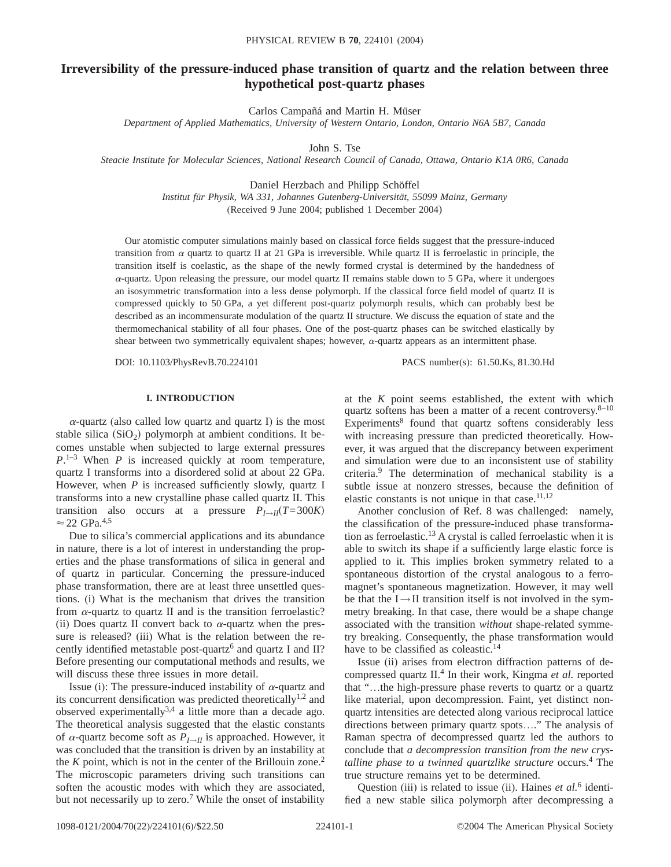# **Irreversibility of the pressure-induced phase transition of quartz and the relation between three hypothetical post-quartz phases**

Carlos Campañá and Martin H. Müser

*Department of Applied Mathematics, University of Western Ontario, London, Ontario N6A 5B7, Canada*

John S. Tse

*Steacie Institute for Molecular Sciences, National Research Council of Canada, Ottawa, Ontario K1A 0R6, Canada*

Daniel Herzbach and Philipp Schöffel

*Institut für Physik, WA 331, Johannes Gutenberg-Universität, 55099 Mainz, Germany* (Received 9 June 2004; published 1 December 2004)

Our atomistic computer simulations mainly based on classical force fields suggest that the pressure-induced transition from  $\alpha$  quartz to quartz II at 21 GPa is irreversible. While quartz II is ferroelastic in principle, the transition itself is coelastic, as the shape of the newly formed crystal is determined by the handedness of  $\alpha$ -quartz. Upon releasing the pressure, our model quartz II remains stable down to 5 GPa, where it undergoes an isosymmetric transformation into a less dense polymorph. If the classical force field model of quartz II is compressed quickly to 50 GPa, a yet different post-quartz polymorph results, which can probably best be described as an incommensurate modulation of the quartz II structure. We discuss the equation of state and the thermomechanical stability of all four phases. One of the post-quartz phases can be switched elastically by shear between two symmetrically equivalent shapes; however,  $\alpha$ -quartz appears as an intermittent phase.

DOI: 10.1103/PhysRevB.70.224101 PACS number(s): 61.50.Ks, 81.30.Hd

# **I. INTRODUCTION**

 $\alpha$ -quartz (also called low quartz and quartz I) is the most stable silica  $(SiO<sub>2</sub>)$  polymorph at ambient conditions. It becomes unstable when subjected to large external pressures *P*. 1–3 When *P* is increased quickly at room temperature, quartz I transforms into a disordered solid at about 22 GPa. However, when *P* is increased sufficiently slowly, quartz I transforms into a new crystalline phase called quartz II. This transition also occurs at a pressure  $P_{I\rightarrow II}(T=300K)$  $\approx$  22 GPa.<sup>4,5</sup>

Due to silica's commercial applications and its abundance in nature, there is a lot of interest in understanding the properties and the phase transformations of silica in general and of quartz in particular. Concerning the pressure-induced phase transformation, there are at least three unsettled questions. (i) What is the mechanism that drives the transition from  $\alpha$ -quartz to quartz II and is the transition ferroelastic? (ii) Does quartz II convert back to  $\alpha$ -quartz when the pressure is released? (iii) What is the relation between the recently identified metastable post-quartz<sup>6</sup> and quartz I and II? Before presenting our computational methods and results, we will discuss these three issues in more detail.

Issue (i): The pressure-induced instability of  $\alpha$ -quartz and its concurrent densification was predicted theoretically<sup>1,2</sup> and observed experimentally<sup>3,4</sup> a little more than a decade ago. The theoretical analysis suggested that the elastic constants of  $\alpha$ -quartz become soft as  $P_{I\rightarrow II}$  is approached. However, it was concluded that the transition is driven by an instability at the  $K$  point, which is not in the center of the Brillouin zone.<sup>2</sup> The microscopic parameters driving such transitions can soften the acoustic modes with which they are associated, but not necessarily up to zero.<sup>7</sup> While the onset of instability at the *K* point seems established, the extent with which quartz softens has been a matter of a recent controversy. $8-10$ Experiments<sup>8</sup> found that quartz softens considerably less with increasing pressure than predicted theoretically. However, it was argued that the discrepancy between experiment and simulation were due to an inconsistent use of stability criteria.9 The determination of mechanical stability is a subtle issue at nonzero stresses, because the definition of elastic constants is not unique in that case. $11,12$ 

Another conclusion of Ref. 8 was challenged: namely, the classification of the pressure-induced phase transformation as ferroelastic.13 A crystal is called ferroelastic when it is able to switch its shape if a sufficiently large elastic force is applied to it. This implies broken symmetry related to a spontaneous distortion of the crystal analogous to a ferromagnet's spontaneous magnetization. However, it may well be that the  $I \rightarrow II$  transition itself is not involved in the symmetry breaking. In that case, there would be a shape change associated with the transition *without* shape-related symmetry breaking. Consequently, the phase transformation would have to be classified as coleastic.<sup>14</sup>

Issue (ii) arises from electron diffraction patterns of decompressed quartz II.<sup>4</sup> In their work, Kingma et al. reported that "…the high-pressure phase reverts to quartz or a quartz like material, upon decompression. Faint, yet distinct nonquartz intensities are detected along various reciprocal lattice directions between primary quartz spots…." The analysis of Raman spectra of decompressed quartz led the authors to conclude that *a decompression transition from the new crystalline phase to a twinned quartzlike structure* occurs.<sup>4</sup> The true structure remains yet to be determined.

Question (iii) is related to issue (ii). Haines *et al.*<sup>6</sup> identified a new stable silica polymorph after decompressing a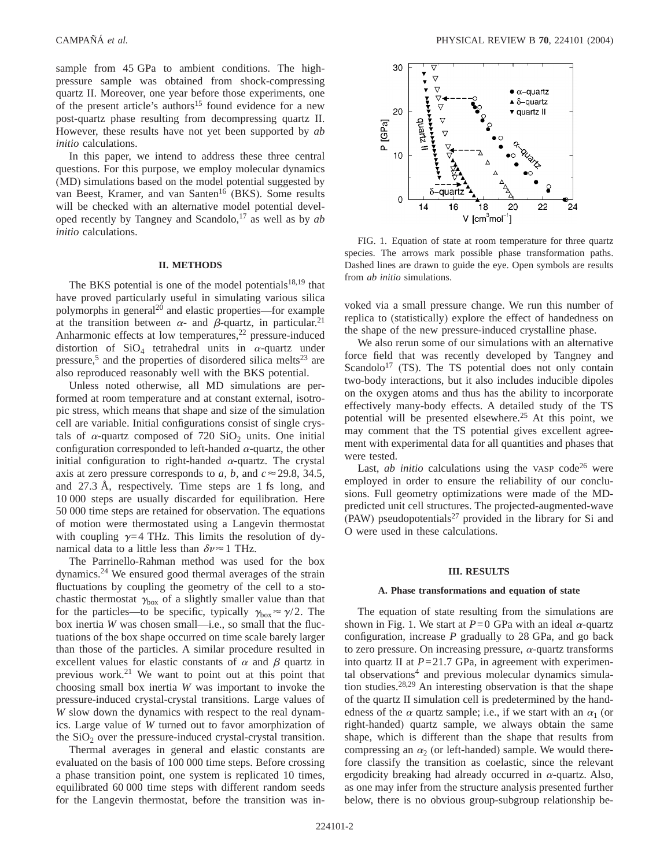sample from 45 GPa to ambient conditions. The highpressure sample was obtained from shock-compressing quartz II. Moreover, one year before those experiments, one of the present article's authors<sup>15</sup> found evidence for a new post-quartz phase resulting from decompressing quartz II. However, these results have not yet been supported by *ab initio* calculations.

In this paper, we intend to address these three central questions. For this purpose, we employ molecular dynamics (MD) simulations based on the model potential suggested by van Beest, Kramer, and van Santen<sup>16</sup> (BKS). Some results will be checked with an alternative model potential developed recently by Tangney and Scandolo,17 as well as by *ab initio* calculations.

# **II. METHODS**

The BKS potential is one of the model potentials<sup>18,19</sup> that have proved particularly useful in simulating various silica polymorphs in general<sup>20</sup> and elastic properties—for example at the transition between  $\alpha$ - and  $\beta$ -quartz, in particular.<sup>21</sup> Anharmonic effects at low temperatures, $22$  pressure-induced distortion of  $SiO<sub>4</sub>$  tetrahedral units in  $\alpha$ -quartz under pressure,<sup>5</sup> and the properties of disordered silica melts<sup>23</sup> are also reproduced reasonably well with the BKS potential.

Unless noted otherwise, all MD simulations are performed at room temperature and at constant external, isotropic stress, which means that shape and size of the simulation cell are variable. Initial configurations consist of single crystals of  $\alpha$ -quartz composed of 720 SiO<sub>2</sub> units. One initial configuration corresponded to left-handed  $\alpha$ -quartz, the other initial configuration to right-handed  $\alpha$ -quartz. The crystal axis at zero pressure corresponds to *a*, *b*, and  $c \approx 29.8$ , 34.5, and 27.3 Å, respectively. Time steps are 1 fs long, and 10 000 steps are usually discarded for equilibration. Here 50 000 time steps are retained for observation. The equations of motion were thermostated using a Langevin thermostat with coupling  $\gamma=4$  THz. This limits the resolution of dynamical data to a little less than  $\delta v \approx 1$  THz.

The Parrinello-Rahman method was used for the box dynamics.24 We ensured good thermal averages of the strain fluctuations by coupling the geometry of the cell to a stochastic thermostat  $\gamma_{\text{box}}$  of a slightly smaller value than that for the particles—to be specific, typically  $\gamma_{\text{box}} \approx \gamma/2$ . The box inertia *W* was chosen small—i.e., so small that the fluctuations of the box shape occurred on time scale barely larger than those of the particles. A similar procedure resulted in excellent values for elastic constants of  $\alpha$  and  $\beta$  quartz in previous work.21 We want to point out at this point that choosing small box inertia *W* was important to invoke the pressure-induced crystal-crystal transitions. Large values of *W* slow down the dynamics with respect to the real dynamics. Large value of *W* turned out to favor amorphization of the  $SiO<sub>2</sub>$  over the pressure-induced crystal-crystal transition.

Thermal averages in general and elastic constants are evaluated on the basis of 100 000 time steps. Before crossing a phase transition point, one system is replicated 10 times, equilibrated 60 000 time steps with different random seeds for the Langevin thermostat, before the transition was in-



FIG. 1. Equation of state at room temperature for three quartz species. The arrows mark possible phase transformation paths. Dashed lines are drawn to guide the eye. Open symbols are results from *ab initio* simulations.

voked via a small pressure change. We run this number of replica to (statistically) explore the effect of handedness on the shape of the new pressure-induced crystalline phase.

We also rerun some of our simulations with an alternative force field that was recently developed by Tangney and Scandolo<sup>17</sup> (TS). The TS potential does not only contain two-body interactions, but it also includes inducible dipoles on the oxygen atoms and thus has the ability to incorporate effectively many-body effects. A detailed study of the TS potential will be presented elsewhere.<sup>25</sup> At this point, we may comment that the TS potential gives excellent agreement with experimental data for all quantities and phases that were tested.

Last, *ab initio* calculations using the VASP code<sup>26</sup> were employed in order to ensure the reliability of our conclusions. Full geometry optimizations were made of the MDpredicted unit cell structures. The projected-augmented-wave (PAW) pseudopotentials<sup>27</sup> provided in the library for Si and O were used in these calculations.

#### **III. RESULTS**

## **A. Phase transformations and equation of state**

The equation of state resulting from the simulations are shown in Fig. 1. We start at  $P=0$  GPa with an ideal  $\alpha$ -quartz configuration, increase *P* gradually to 28 GPa, and go back to zero pressure. On increasing pressure,  $\alpha$ -quartz transforms into quartz II at  $P=21.7$  GPa, in agreement with experimental observations<sup>4</sup> and previous molecular dynamics simulation studies.28,29 An interesting observation is that the shape of the quartz II simulation cell is predetermined by the handedness of the  $\alpha$  quartz sample; i.e., if we start with an  $\alpha_1$  (or right-handed) quartz sample, we always obtain the same shape, which is different than the shape that results from compressing an  $\alpha_2$  (or left-handed) sample. We would therefore classify the transition as coelastic, since the relevant ergodicity breaking had already occurred in  $\alpha$ -quartz. Also, as one may infer from the structure analysis presented further below, there is no obvious group-subgroup relationship be-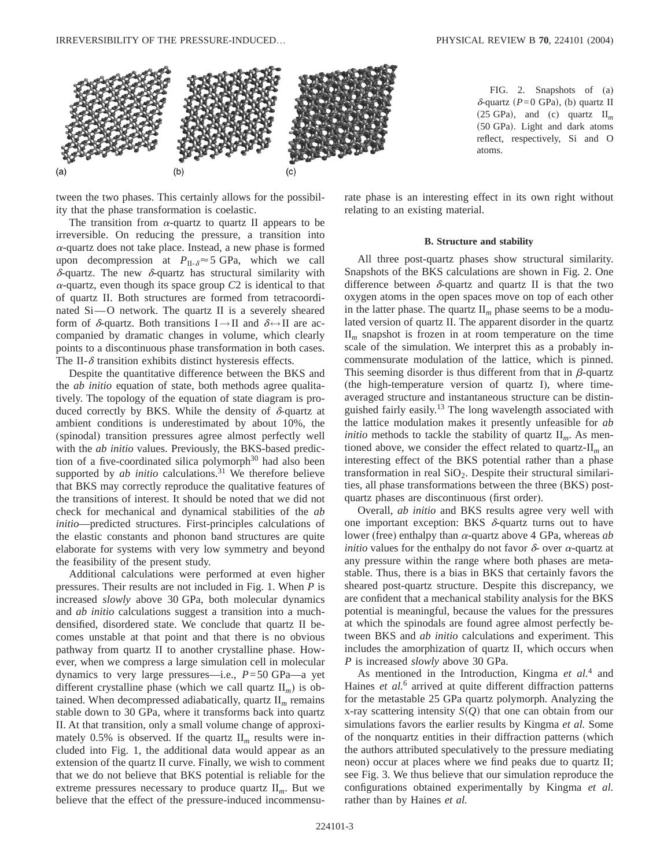

tween the two phases. This certainly allows for the possibility that the phase transformation is coelastic.

The transition from  $\alpha$ -quartz to quartz II appears to be irreversible. On reducing the pressure, a transition into  $\alpha$ -quartz does not take place. Instead, a new phase is formed upon decompression at  $P_{\text{II-}\delta} \approx 5 \text{ GPa}$ , which we call  $\delta$ -quartz. The new  $\delta$ -quartz has structural similarity with  $\alpha$ -quartz, even though its space group  $C2$  is identical to that of quartz II. Both structures are formed from tetracoordinated  $Si$ —O network. The quartz II is a severely sheared form of  $\delta$ -quartz. Both transitions I $\rightarrow$ II and  $\delta \leftrightarrow$ II are accompanied by dramatic changes in volume, which clearly points to a discontinuous phase transformation in both cases. The II- $\delta$  transition exhibits distinct hysteresis effects.

Despite the quantitative difference between the BKS and the *ab initio* equation of state, both methods agree qualitatively. The topology of the equation of state diagram is produced correctly by BKS. While the density of  $\delta$ -quartz at ambient conditions is underestimated by about 10%, the (spinodal) transition pressures agree almost perfectly well with the *ab initio* values. Previously, the BKS-based prediction of a five-coordinated silica polymorph<sup>30</sup> had also been supported by *ab initio* calculations.<sup>31</sup> We therefore believe that BKS may correctly reproduce the qualitative features of the transitions of interest. It should be noted that we did not check for mechanical and dynamical stabilities of the *ab initio*—predicted structures. First-principles calculations of the elastic constants and phonon band structures are quite elaborate for systems with very low symmetry and beyond the feasibility of the present study.

Additional calculations were performed at even higher pressures. Their results are not included in Fig. 1. When *P* is increased *slowly* above 30 GPa, both molecular dynamics and *ab initio* calculations suggest a transition into a muchdensified, disordered state. We conclude that quartz II becomes unstable at that point and that there is no obvious pathway from quartz II to another crystalline phase. However, when we compress a large simulation cell in molecular dynamics to very large pressures—i.e., *P*=50 GPa—a yet different crystalline phase (which we call quartz II*m*) is obtained. When decompressed adiabatically, quartz II*<sup>m</sup>* remains stable down to 30 GPa, where it transforms back into quartz II. At that transition, only a small volume change of approximately 0.5% is observed. If the quartz  $II<sub>m</sub>$  results were included into Fig. 1, the additional data would appear as an extension of the quartz II curve. Finally, we wish to comment that we do not believe that BKS potential is reliable for the extreme pressures necessary to produce quartz II*m*. But we believe that the effect of the pressure-induced incommensu-

FIG. 2. Snapshots of (a)  $\delta$ -quartz (*P*=0 GPa), (b) quartz II  $(25 \text{ GPa})$ , and (c) quartz  $II<sub>m</sub>$ (50 GPa). Light and dark atoms reflect, respectively, Si and O atoms.

rate phase is an interesting effect in its own right without relating to an existing material.

### **B. Structure and stability**

All three post-quartz phases show structural similarity. Snapshots of the BKS calculations are shown in Fig. 2. One difference between  $\delta$ -quartz and quartz II is that the two oxygen atoms in the open spaces move on top of each other in the latter phase. The quartz  $II<sub>m</sub>$  phase seems to be a modulated version of quartz II. The apparent disorder in the quartz II*<sup>m</sup>* snapshot is frozen in at room temperature on the time scale of the simulation. We interpret this as a probably incommensurate modulation of the lattice, which is pinned. This seeming disorder is thus different from that in  $\beta$ -quartz (the high-temperature version of quartz I), where timeaveraged structure and instantaneous structure can be distinguished fairly easily.13 The long wavelength associated with the lattice modulation makes it presently unfeasible for *ab initio* methods to tackle the stability of quartz  $II<sub>m</sub>$ . As mentioned above, we consider the effect related to quartz-II*<sup>m</sup>* an interesting effect of the BKS potential rather than a phase transformation in real  $SiO<sub>2</sub>$ . Despite their structural similarities, all phase transformations between the three (BKS) postquartz phases are discontinuous (first order).

Overall, *ab initio* and BKS results agree very well with one important exception: BKS  $\delta$ -quartz turns out to have lower (free) enthalpy than  $\alpha$ -quartz above 4 GPa, whereas  $ab$ *initio* values for the enthalpy do not favor  $\delta$ - over  $\alpha$ -quartz at any pressure within the range where both phases are metastable. Thus, there is a bias in BKS that certainly favors the sheared post-quartz structure. Despite this discrepancy, we are confident that a mechanical stability analysis for the BKS potential is meaningful, because the values for the pressures at which the spinodals are found agree almost perfectly between BKS and *ab initio* calculations and experiment. This includes the amorphization of quartz II, which occurs when *P* is increased *slowly* above 30 GPa.

As mentioned in the Introduction, Kingma *et al.*<sup>4</sup> and Haines *et al.*<sup>6</sup> arrived at quite different diffraction patterns for the metastable 25 GPa quartz polymorph. Analyzing the x-ray scattering intensity  $S(Q)$  that one can obtain from our simulations favors the earlier results by Kingma *et al.* Some of the nonquartz entities in their diffraction patterns (which the authors attributed speculatively to the pressure mediating neon) occur at places where we find peaks due to quartz II; see Fig. 3. We thus believe that our simulation reproduce the configurations obtained experimentally by Kingma *et al.* rather than by Haines *et al.*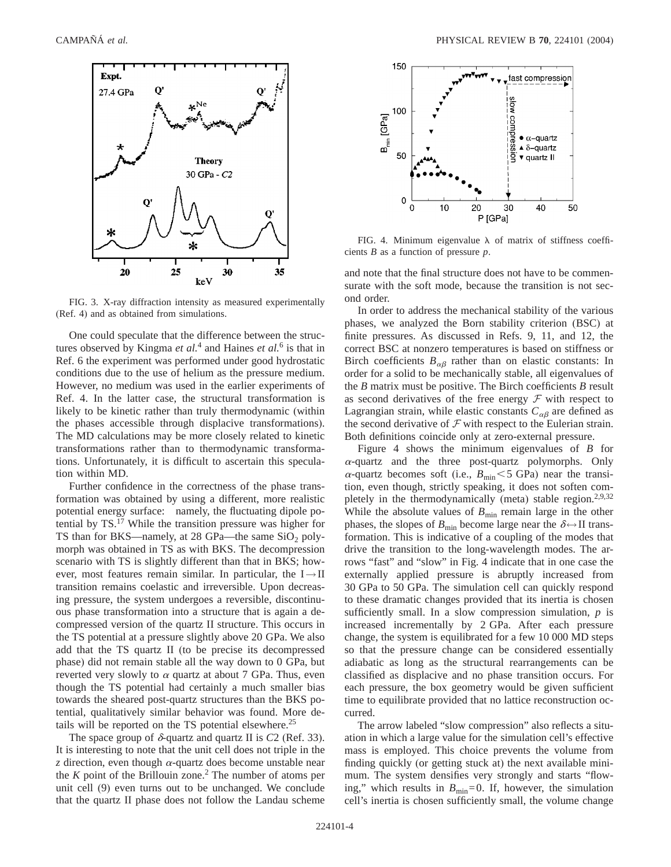

FIG. 3. X-ray diffraction intensity as measured experimentally (Ref. 4) and as obtained from simulations.

One could speculate that the difference between the structures observed by Kingma *et al.*<sup>4</sup> and Haines *et al.*<sup>6</sup> is that in Ref. 6 the experiment was performed under good hydrostatic conditions due to the use of helium as the pressure medium. However, no medium was used in the earlier experiments of Ref. 4. In the latter case, the structural transformation is likely to be kinetic rather than truly thermodynamic (within the phases accessible through displacive transformations). The MD calculations may be more closely related to kinetic transformations rather than to thermodynamic transformations. Unfortunately, it is difficult to ascertain this speculation within MD.

Further confidence in the correctness of the phase transformation was obtained by using a different, more realistic potential energy surface: namely, the fluctuating dipole potential by TS.17 While the transition pressure was higher for TS than for BKS—namely, at  $28$  GPa—the same SiO<sub>2</sub> polymorph was obtained in TS as with BKS. The decompression scenario with TS is slightly different than that in BKS; however, most features remain similar. In particular, the  $I \rightarrow II$ transition remains coelastic and irreversible. Upon decreasing pressure, the system undergoes a reversible, discontinuous phase transformation into a structure that is again a decompressed version of the quartz II structure. This occurs in the TS potential at a pressure slightly above 20 GPa. We also add that the TS quartz II (to be precise its decompressed phase) did not remain stable all the way down to 0 GPa, but reverted very slowly to  $\alpha$  quartz at about 7 GPa. Thus, even though the TS potential had certainly a much smaller bias towards the sheared post-quartz structures than the BKS potential, qualitatively similar behavior was found. More details will be reported on the TS potential elsewhere.<sup>25</sup>

The space group of  $\delta$ -quartz and quartz II is  $C2$  (Ref. 33). It is interesting to note that the unit cell does not triple in the *z* direction, even though  $\alpha$ -quartz does become unstable near the  $K$  point of the Brillouin zone.<sup>2</sup> The number of atoms per unit cell (9) even turns out to be unchanged. We conclude that the quartz II phase does not follow the Landau scheme



FIG. 4. Minimum eigenvalue  $\lambda$  of matrix of stiffness coefficients *B* as a function of pressure *p*.

and note that the final structure does not have to be commensurate with the soft mode, because the transition is not second order.

In order to address the mechanical stability of the various phases, we analyzed the Born stability criterion (BSC) at finite pressures. As discussed in Refs. 9, 11, and 12, the correct BSC at nonzero temperatures is based on stiffness or Birch coefficients  $B_{\alpha\beta}$  rather than on elastic constants: In order for a solid to be mechanically stable, all eigenvalues of the *B* matrix must be positive. The Birch coefficients *B* result as second derivatives of the free energy  $\mathcal F$  with respect to Lagrangian strain, while elastic constants  $C_{\alpha\beta}$  are defined as the second derivative of  $\mathcal F$  with respect to the Eulerian strain. Both definitions coincide only at zero-external pressure.

Figure 4 shows the minimum eigenvalues of *B* for  $\alpha$ -quartz and the three post-quartz polymorphs. Only  $\alpha$ -quartz becomes soft (i.e.,  $B_{\text{min}}<5$  GPa) near the transition, even though, strictly speaking, it does not soften completely in the thermodynamically (meta) stable region.<sup>2,9,32</sup> While the absolute values of  $B_{\text{min}}$  remain large in the other phases, the slopes of  $B_{\text{min}}$  become large near the  $\delta \leftrightarrow \text{II}$  transformation. This is indicative of a coupling of the modes that drive the transition to the long-wavelength modes. The arrows "fast" and "slow" in Fig. 4 indicate that in one case the externally applied pressure is abruptly increased from 30 GPa to 50 GPa. The simulation cell can quickly respond to these dramatic changes provided that its inertia is chosen sufficiently small. In a slow compression simulation, *p* is increased incrementally by 2 GPa. After each pressure change, the system is equilibrated for a few 10 000 MD steps so that the pressure change can be considered essentially adiabatic as long as the structural rearrangements can be classified as displacive and no phase transition occurs. For each pressure, the box geometry would be given sufficient time to equilibrate provided that no lattice reconstruction occurred.

The arrow labeled "slow compression" also reflects a situation in which a large value for the simulation cell's effective mass is employed. This choice prevents the volume from finding quickly (or getting stuck at) the next available minimum. The system densifies very strongly and starts "flowing," which results in  $B_{\text{min}}=0$ . If, however, the simulation cell's inertia is chosen sufficiently small, the volume change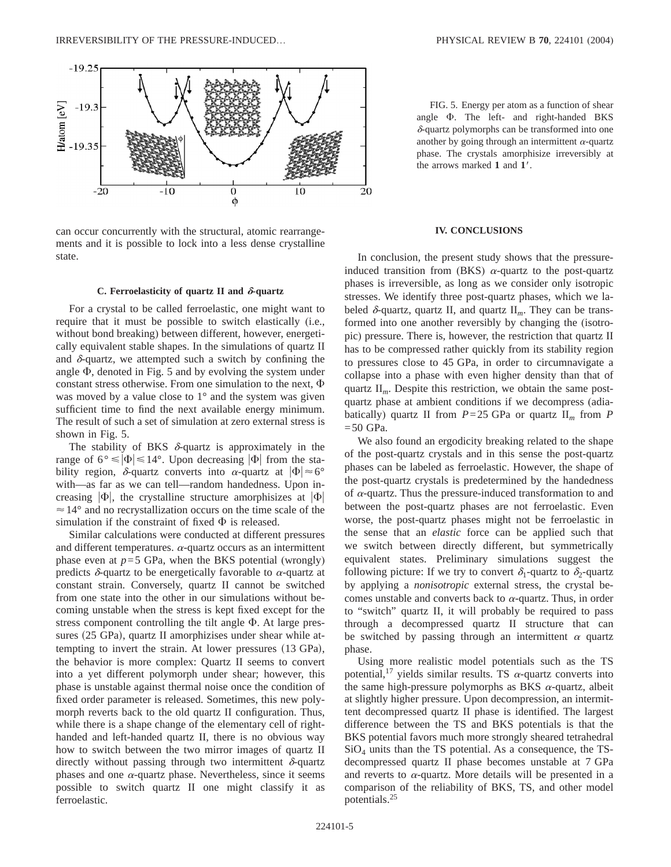

can occur concurrently with the structural, atomic rearrangements and it is possible to lock into a less dense crystalline state.

### **C. Ferroelasticity of quartz II and**  $\delta$ **-quartz**

For a crystal to be called ferroelastic, one might want to require that it must be possible to switch elastically (i.e., without bond breaking) between different, however, energetically equivalent stable shapes. In the simulations of quartz II and  $\delta$ -quartz, we attempted such a switch by confining the angle  $\Phi$ , denoted in Fig. 5 and by evolving the system under constant stress otherwise. From one simulation to the next,  $\Phi$ was moved by a value close to 1° and the system was given sufficient time to find the next available energy minimum. The result of such a set of simulation at zero external stress is shown in Fig. 5.

The stability of BKS  $\delta$ -quartz is approximately in the range of  $6^{\circ} \leq |\Phi| \leq 14^{\circ}$ . Upon decreasing  $|\Phi|$  from the stability region,  $\delta$ -quartz converts into  $\alpha$ -quartz at  $|\Phi| \approx 6^{\circ}$ with—as far as we can tell—random handedness. Upon increasing  $|\Phi|$ , the crystalline structure amorphisizes at  $|\Phi|$  $\approx$  14 $\degree$  and no recrystallization occurs on the time scale of the simulation if the constraint of fixed  $\Phi$  is released.

Similar calculations were conducted at different pressures and different temperatures.  $\alpha$ -quartz occurs as an intermittent phase even at  $p=5$  GPa, when the BKS potential (wrongly) predicts  $\delta$ -quartz to be energetically favorable to  $\alpha$ -quartz at constant strain. Conversely, quartz II cannot be switched from one state into the other in our simulations without becoming unstable when the stress is kept fixed except for the stress component controlling the tilt angle  $\Phi$ . At large pressures (25 GPa), quartz II amorphizises under shear while attempting to invert the strain. At lower pressures  $(13 \text{ GPa})$ , the behavior is more complex: Quartz II seems to convert into a yet different polymorph under shear; however, this phase is unstable against thermal noise once the condition of fixed order parameter is released. Sometimes, this new polymorph reverts back to the old quartz II configuration. Thus, while there is a shape change of the elementary cell of righthanded and left-handed quartz II, there is no obvious way how to switch between the two mirror images of quartz II directly without passing through two intermittent  $\delta$ -quartz phases and one  $\alpha$ -quartz phase. Nevertheless, since it seems possible to switch quartz II one might classify it as ferroelastic.

FIG. 5. Energy per atom as a function of shear angle  $\Phi$ . The left- and right-handed BKS  $\delta$ -quartz polymorphs can be transformed into one another by going through an intermittent  $\alpha$ -quartz phase. The crystals amorphisize irreversibly at the arrows marked 1 and 1'.

#### **IV. CONCLUSIONS**

In conclusion, the present study shows that the pressureinduced transition from (BKS)  $\alpha$ -quartz to the post-quartz phases is irreversible, as long as we consider only isotropic stresses. We identify three post-quartz phases, which we labeled  $\delta$ -quartz, quartz II, and quartz II<sub>m</sub>. They can be transformed into one another reversibly by changing the (isotropic) pressure. There is, however, the restriction that quartz II has to be compressed rather quickly from its stability region to pressures close to 45 GPa, in order to circumnavigate a collapse into a phase with even higher density than that of quartz II*m*. Despite this restriction, we obtain the same postquartz phase at ambient conditions if we decompress (adiabatically) quartz II from  $P=25$  GPa or quartz  $II_m$  from  $P$  $=50$  GPa.

We also found an ergodicity breaking related to the shape of the post-quartz crystals and in this sense the post-quartz phases can be labeled as ferroelastic. However, the shape of the post-quartz crystals is predetermined by the handedness of  $\alpha$ -quartz. Thus the pressure-induced transformation to and between the post-quartz phases are not ferroelastic. Even worse, the post-quartz phases might not be ferroelastic in the sense that an *elastic* force can be applied such that we switch between directly different, but symmetrically equivalent states. Preliminary simulations suggest the following picture: If we try to convert  $\delta_1$ -quartz to  $\delta_2$ -quartz by applying a *nonisotropic* external stress, the crystal becomes unstable and converts back to  $\alpha$ -quartz. Thus, in order to "switch" quartz II, it will probably be required to pass through a decompressed quartz II structure that can be switched by passing through an intermittent  $\alpha$  quartz phase.

Using more realistic model potentials such as the TS potential,<sup>17</sup> yields similar results. TS  $\alpha$ -quartz converts into the same high-pressure polymorphs as BKS  $\alpha$ -quartz, albeit at slightly higher pressure. Upon decompression, an intermittent decompressed quartz II phase is identified. The largest difference between the TS and BKS potentials is that the BKS potential favors much more strongly sheared tetrahedral  $SiO<sub>4</sub>$  units than the TS potential. As a consequence, the TSdecompressed quartz II phase becomes unstable at 7 GPa and reverts to  $\alpha$ -quartz. More details will be presented in a comparison of the reliability of BKS, TS, and other model potentials.25